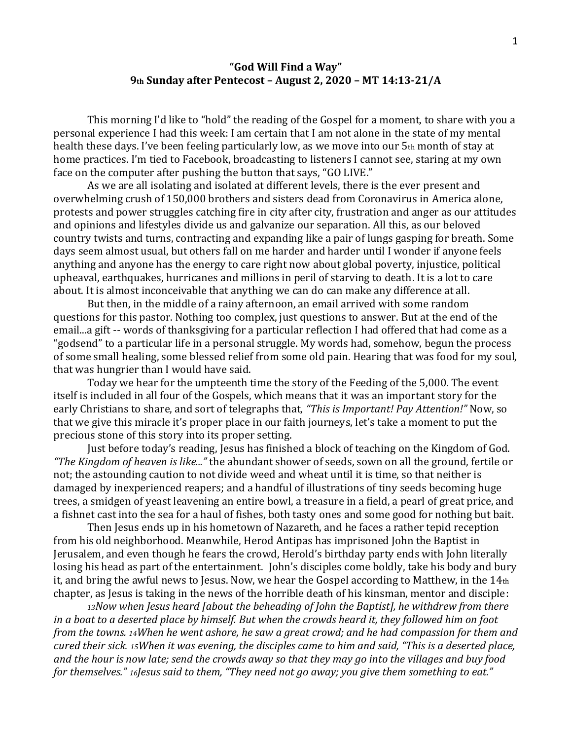## **"God Will Find a Way" 9th Sunday after Pentecost – August 2, 2020 – MT 14:13-21/A**

This morning I'd like to "hold" the reading of the Gospel for a moment, to share with you a personal experience I had this week: I am certain that I am not alone in the state of my mental health these days. I've been feeling particularly low, as we move into our 5th month of stay at home practices. I'm tied to Facebook, broadcasting to listeners I cannot see, staring at my own face on the computer after pushing the button that says, "GO LIVE."

As we are all isolating and isolated at different levels, there is the ever present and overwhelming crush of 150,000 brothers and sisters dead from Coronavirus in America alone, protests and power struggles catching fire in city after city, frustration and anger as our attitudes and opinions and lifestyles divide us and galvanize our separation. All this, as our beloved country twists and turns, contracting and expanding like a pair of lungs gasping for breath. Some days seem almost usual, but others fall on me harder and harder until I wonder if anyone feels anything and anyone has the energy to care right now about global poverty, injustice, political upheaval, earthquakes, hurricanes and millions in peril of starving to death. It is a lot to care about. It is almost inconceivable that anything we can do can make any difference at all.

But then, in the middle of a rainy afternoon, an email arrived with some random questions for this pastor. Nothing too complex, just questions to answer. But at the end of the email...a gift -- words of thanksgiving for a particular reflection I had offered that had come as a "godsend" to a particular life in a personal struggle. My words had, somehow, begun the process of some small healing, some blessed relief from some old pain. Hearing that was food for my soul, that was hungrier than I would have said.

Today we hear for the umpteenth time the story of the Feeding of the 5,000. The event itself is included in all four of the Gospels, which means that it was an important story for the early Christians to share, and sort of telegraphs that, *"This is Important! Pay Attention!"* Now, so that we give this miracle it's proper place in our faith journeys, let's take a moment to put the precious stone of this story into its proper setting.

Just before today's reading, Jesus has finished a block of teaching on the Kingdom of God. *"The Kingdom of heaven is like..."* the abundant shower of seeds, sown on all the ground, fertile or not; the astounding caution to not divide weed and wheat until it is time, so that neither is damaged by inexperienced reapers; and a handful of illustrations of tiny seeds becoming huge trees, a smidgen of yeast leavening an entire bowl, a treasure in a field, a pearl of great price, and a fishnet cast into the sea for a haul of fishes, both tasty ones and some good for nothing but bait.

Then Jesus ends up in his hometown of Nazareth, and he faces a rather tepid reception from his old neighborhood. Meanwhile, Herod Antipas has imprisoned John the Baptist in Jerusalem, and even though he fears the crowd, Herold's birthday party ends with John literally losing his head as part of the entertainment. John's disciples come boldly, take his body and bury it, and bring the awful news to Jesus. Now, we hear the Gospel according to Matthew, in the 14th chapter, as Jesus is taking in the news of the horrible death of his kinsman, mentor and disciple:

*<sup>13</sup>Now when Jesus heard [about the beheading of John the Baptist], he withdrew from there in a boat to a deserted place by himself. But when the crowds heard it, they followed him on foot from the towns. 14When he went ashore, he saw a great crowd; and he had compassion for them and cured their sick. 15When it was evening, the disciples came to him and said, "This is a deserted place, and the hour is now late; send the crowds away so that they may go into the villages and buy food for themselves." 16Jesus said to them, "They need not go away; you give them something to eat."*